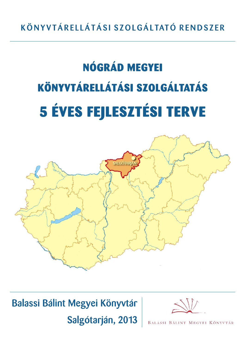# NÓGRÁD MEGYEI KÖNYVTÁRELLÁTÁSI SZOLGÁLTATÁS 5 ÉVES FEJLESZTÉSI TERVE



## Balassi Bálint Megyei Könyvtár

Salgótarján, 2013



BALASSI BÁLINT MEGYEI KÖNYVTÁR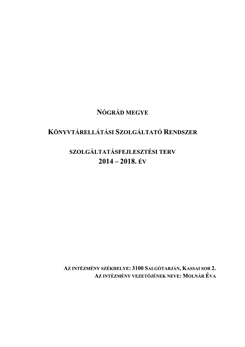## NÓGRÁD MEGYE

## KÖNYVTÁRELLÁTÁSI SZOLGÁLTATÓ RENDSZER

## SZOLGÁLTATÁSFEJLESZTÉSI TERV  $2014 - 2018$ , ÉV

AZ INTÉZMÉNY SZÉKHELYE: 3100 SALGÓTARJÁN, KASSAI SOR 2. AZ INTÉZMÉNY VEZETŐJÉNEK NEVE: MOLNÁR ÉVA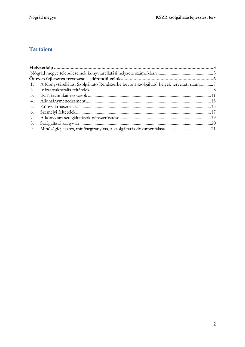## **Tartalom**

|    | <b>Tartalom</b>                                                                      |
|----|--------------------------------------------------------------------------------------|
|    |                                                                                      |
|    |                                                                                      |
|    |                                                                                      |
|    |                                                                                      |
|    |                                                                                      |
|    | A Könyvtárellátási Szolgáltató Rendszerbe bevont szolgáltató helyek tervezett száma7 |
| 2. |                                                                                      |
| 3. |                                                                                      |
| 4. |                                                                                      |
| 5. |                                                                                      |
| 6. |                                                                                      |
| 7. |                                                                                      |
| 8. |                                                                                      |
| 9. |                                                                                      |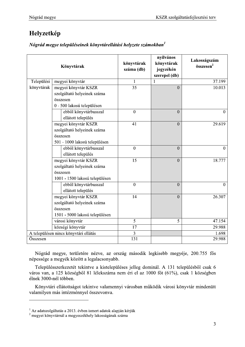## Helyzetkép

### Nógrád megye településeinek könyvtárellátási helyzete számokban $<sup>1</sup>$ </sup>

|            | Könyvtárak                            | könyvtárak<br>száma (db) | nyilvános<br>könyvtárak<br>jegyzékén<br>szerepel (db) | Lakosságszám<br>összesen <sup>2</sup> |
|------------|---------------------------------------|--------------------------|-------------------------------------------------------|---------------------------------------|
| Települési | megyei könyvtár                       | $\mathbf{1}$             |                                                       | 37.199                                |
| könyvtárak | megyei könyvtár KSZR                  | $\overline{35}$          | $\overline{0}$                                        | 10.013                                |
|            | szolgáltató helyeinek száma           |                          |                                                       |                                       |
|            | összesen                              |                          |                                                       |                                       |
|            | 0 - 500 lakosú településen            |                          |                                                       |                                       |
|            | ebből könyvtárbusszal                 | $\overline{0}$           | $\overline{0}$                                        | $\overline{0}$                        |
|            | ellátott település                    |                          |                                                       |                                       |
|            | megyei könyvtár KSZR                  | 41                       | $\overline{0}$                                        | 29.619                                |
|            | szolgáltató helyeinek száma           |                          |                                                       |                                       |
|            | összesen                              |                          |                                                       |                                       |
|            | 501 - 1000 lakosú településen         |                          |                                                       |                                       |
|            | ebből könyvtárbusszal                 | $\mathbf{0}$             | $\mathbf{0}$                                          | $\overline{0}$                        |
|            | ellátott település                    |                          |                                                       |                                       |
|            | megyei könyvtár KSZR                  | 15                       | $\boldsymbol{0}$                                      | 18.777                                |
|            | szolgáltató helyeinek száma           |                          |                                                       |                                       |
|            | összesen                              |                          |                                                       |                                       |
|            | 1001 - 1500 lakosú településen        |                          |                                                       |                                       |
|            | ebből könyvtárbusszal                 | $\boldsymbol{0}$         | $\mathbf{0}$                                          | $\overline{0}$                        |
|            | ellátott település                    |                          |                                                       |                                       |
|            | megyei könyvtár KSZR                  | 14                       | $\overline{0}$                                        | 26.307                                |
|            | szolgáltató helyeinek száma           |                          |                                                       |                                       |
|            | összesen                              |                          |                                                       |                                       |
|            | 1501 - 5000 lakosú településen        |                          |                                                       |                                       |
|            | városi könyvtár                       | 5                        | 5                                                     | 47.154                                |
|            | községi könyvtár                      | 17                       |                                                       | 29.988                                |
|            | A településen nincs könyvtári ellátás | 3                        |                                                       | 1.698                                 |
| Összesen   |                                       | 131                      |                                                       | 29.988                                |

Nógrád megye, területére nézve, az ország második legkisebb megyéje, 200.755 fős népessége a megyék között a legalacsonyabb.

Településszerkezetét tekintve a kistelepüléses jelleg dominál. A 131 településből csak 6 város van, a 125 községből 81 lélekszáma nem éri el az 1000 főt (61%), csak 1 községben élnek 3000-nél többen.

Könyvtári ellátottságot tekintve valamennyi városban működik városi könyvtár mindenütt valamilyen más intézménnyel összevonva.

 $^{-1}$  Az adatszolgáltatás a 2013. évben ismert adatok alapján kérjük $^{-2}$ megyei könyvtárnál a megyeszékhely lakosságának száma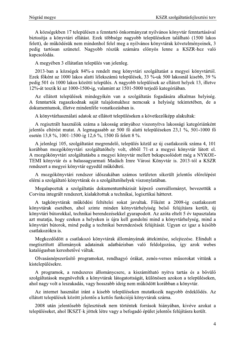A községekben 17 településen a fenntartó önkormányzat nyilvános könyvtár fenntartásával biztosítja a könyvtári ellátást. Ezek többsége nagyobb településeken található (1500 lakos felett), de működésük nem mindenhol felel meg a nyilvános könyvtárak követelményeinek, 3 pedig tartósan szünetel. Nagyobb részük számára előnyös lenne a KSZR-hez való kapcsolódás.

A megyében 3 ellátatlan település van jelenleg.

2013-ban a községek 84%-a rendelt meg könyvtári szolgáltatást a megyei könyvtártól. Ezek főként az 1000 lakos alatti lélekszámú települések, 33 %-uk 500 lakosnál kisebb, 39 % pedig 501 és 1000 lakos közötti település. A nagyobb települések az ellátott helyek 13, illetve 12%-át teszik ki az 1000-1500-ig, valamint az 1501-5000 teriedő kategóriában.

Az ellátott települések mindegyikén van a szolgáltatás fogadására alkalmas helyiség. A fenntartók ragaszkodnak saját tulajdonukhoz nemcsak a helyiség tekintetében, de a dokumentumok, illetve mindenféle vonatkozásban is.

A könyvtárhasználati adatok az ellátott településeken a következőképp alakultak:

A regisztrált használók száma a lakosság arányához viszonyítva lakossági kategóriánként jelentős eltérést mutat. A legmagasabb az 500 fő alatti településeken 23,1 %, 501-1000 fő esetén 13,8 %, 1001-1500-ig 12,6 %, 1500 fő felett 8 %.

A jelenlegi 105, szolgáltatást megrendelő, település közül az új csatlakozók száma 4, 101 korábban mozgókönyvtári szolgáltatóhely volt, ebből 71-et a megyei könyvtár látott el. A mozgókönyvtári szolgáltatásba a megyei könyvtár mellett bekapcsolódott még a NYKOE-TEMI könyvtár és a balassagyarmati Madách Imre Városi Könyvtár is. 2013-tól a KSZR rendszert a megyei könyvtár egyedül működteti.

A mozgókönyvtári rendszer időszakában számos területen sikerült jelentős előrelépést elérni a szolgáltató könyvtárak és a szolgáltatóhelyek viszonylatában.

Megalapoztuk a szolgáltatás dokumentumbázisát képező csereállományt, bevezettük a Corvina integrált rendszert, kialakítottuk a technikai, logisztikai hátteret.

A tagkönyvtárak működési feltételei sokat javultak. Főként a 2008-ig csatlakozott könyvtárak esetében, ahol szinte minden könyvtárhelyiség belső felújításra került, új könyvtári bútorokkal, technikai berendezésekkel gyarapodott. Az azóta eltelt 5 év tapasztalata azt mutatja, hogy ezeken a helyeken is újra kell gondolni mind a könyvtárhelység, mind a könyvtári bútorok, mind pedig a technikai berendezések felújítását. Ugyan ez igaz a később csatlakozókra is.

Megkezdődött a csatlakozó könyvtárak állományának áttekintése, selejtezése. Elindult a megtisztított állományok adatainak adatbázisban való feldolgozása, így azok webes katalógusban kereshetővé váltak.

Olvasásnépszerűsítő programokat, rendhagyó órákat, zenés-verses műsorokat vittünk a kistelepülésekre.

A programok, a rendszeres állománycsere, a kiszámítható nyitva tartás és a bővülő szolgáltatások megnövelték a könyvtárak látogatottságát, különösen azokon a településeken, ahol nagy volt a leszakadás, vagy hosszabb ideig nem működött korábban a könyvtár.

Az internet használat iránt a kisebb településeken mutatkozik nagyobb érdeklődés. Az ellátott települések között jelentős a kettős funkciójú könyvtárak száma.

2008 után jelentősebb fejlesztések nem történtek források hiányában, kivéve azokat a településeket, ahol IKSZT-k jöttek létre vagy a befogadó épület jelentős felújításra került.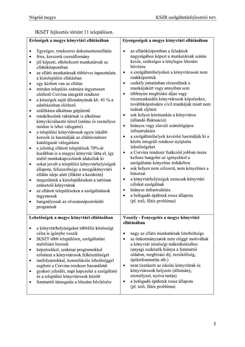IKSZT fejlesztés történt 11 településen.

| Erősségek a megye könyvtári ellátásában                                                                                                                                                                                                                                                                                                                                                                                                                                                                                                                                                                                                                                                                                                                                                                                                                                                                                                                                                                                                                                                                                                                                                                                                    | Gyengeségek a megye könyvtári ellátásában                                                                                                                                                                                                                                                                                                                                                                                                                                                                                                                                                                                                                                                                                                                                                                                                                                                                                                                                                                                                                                      |
|--------------------------------------------------------------------------------------------------------------------------------------------------------------------------------------------------------------------------------------------------------------------------------------------------------------------------------------------------------------------------------------------------------------------------------------------------------------------------------------------------------------------------------------------------------------------------------------------------------------------------------------------------------------------------------------------------------------------------------------------------------------------------------------------------------------------------------------------------------------------------------------------------------------------------------------------------------------------------------------------------------------------------------------------------------------------------------------------------------------------------------------------------------------------------------------------------------------------------------------------|--------------------------------------------------------------------------------------------------------------------------------------------------------------------------------------------------------------------------------------------------------------------------------------------------------------------------------------------------------------------------------------------------------------------------------------------------------------------------------------------------------------------------------------------------------------------------------------------------------------------------------------------------------------------------------------------------------------------------------------------------------------------------------------------------------------------------------------------------------------------------------------------------------------------------------------------------------------------------------------------------------------------------------------------------------------------------------|
| Egységes, rendszeres dokumentumellátás<br>friss, korszerű csereállomány<br>٠<br>jól képzett, elkötelezett munkatársak az<br>$\bullet$<br>ellátóközpontban<br>az ellátó munkatársak többéves tapasztalata<br>۰<br>a kistelepülési ellátásban<br>egy kézben van az ellátás<br>٠<br>minden település számára ingyenesen<br>$\bullet$<br>elérhető Corvina integrált rendszer<br>a községek saját állományának kb. 45 %-a<br>٠<br>adatbázisban elérhető<br>szállításra alkalmas gépjármű<br>٠<br>rendelkezünk raktárnak is alkalmas<br>$\bullet$<br>könyvkiválasztó térrel (online és személyes<br>módon is lehet válogatni)<br>a települési könyvtárosok egyre inkább<br>٠<br>keresik és használják az ellátórendszer<br>katalógusát válogatásra<br>a jelenleg ellátott települések 70%-át<br>٠<br>korábban is a megyei könyvtár látta el, így<br>stabil munkakapcsolatok alakultak ki<br>sokat javult a települési könyvtárhelyiségek<br>٠<br>állapota, felszereltsége a mozgókönyvtári<br>ellátás ideje alatt (főként a kezdetén)<br>megszűntek a kistelepüléseken a tartósan<br>$\bullet$<br>szünetelő könyvtárak<br>az ellátott településeken a szolgáltatások<br>٠<br>ingyenesek<br>hangsúlyosak az olvasásnépszerűsítő<br>٠<br>programok | az ellátóközpontban a feladatok<br>nagyságához képest a munkatársak száma<br>kevés, szükséges a tényleges létszám<br>bővítése<br>a szolgáltatóhelyeken a könyvtárosok nem<br>٠<br>szakképzettek<br>csekély juttatásban részesülnek a<br>$\bullet$<br>munkájukért vagy annyiban sem<br>többnyire megbízási díjas vagy<br>$\bullet$<br>részmunkaidős könyvtárosok képzésekre,<br>továbbképzésekre civil munkájuk miatt nem<br>tudnak eljönni<br>sok helyen közmunkás a könyvtáros<br>٠<br>(állandó fluktuáció)<br>hiányos vagy elavult számítógépes<br>$\bullet$<br>infrastruktúra<br>a szolgáltatóhelyek kevésbé használják ki a<br>٠<br>közös integrált rendszer nyújtotta<br>lehetőségeket<br>a Corvina rendszer funkcióit jobban össze<br>٠<br>kellene hangolni az igényekkel a<br>szolgáltatás kényelme érdekében<br>sok helyen nem célszerű, nem kényelmes a<br>$\bullet$<br>bútorzat<br>a könyvtárhelyiségek nemcsak könyvtári<br>٠<br>célokat szolgálnak<br>hiányos infrastruktúra<br>٠<br>a befogadó épületek rossz állapota<br>$\bullet$<br>(pl. tető, fűtés probléma) |
| Lehetőségek a megye könyvtári ellátásában                                                                                                                                                                                                                                                                                                                                                                                                                                                                                                                                                                                                                                                                                                                                                                                                                                                                                                                                                                                                                                                                                                                                                                                                  | Veszély - Fenyegetés a megye könyvtári<br>ellátásában                                                                                                                                                                                                                                                                                                                                                                                                                                                                                                                                                                                                                                                                                                                                                                                                                                                                                                                                                                                                                          |
| a könyvtárhelyiségeket többféle közösségi<br>célra is igénybe veszik<br>IKSZT több településen, szolgáltatási<br>٠<br>stabilitást biztosít<br>képzésekkel, szakmai programokkal<br>٠<br>erősíteni a könyvtárosok felkészültségét<br>tanfolyamokkal, konzultációs lehetőséggel<br>٠<br>segíteni a Corvina rendszer használatát<br>gyakori jelenlét, napi kapcsolat a szolgáltató<br>٠<br>és a települési könyvtárosok között<br>fenntartói támogatás a létszám bővítésére                                                                                                                                                                                                                                                                                                                                                                                                                                                                                                                                                                                                                                                                                                                                                                   | nagy az ellátó munkatársak leterheltsége<br>٠<br>az önkormányzatok nem eléggé motiváltak<br>$\bullet$<br>a könyvtár minőségi működtetéséhez<br>(anyagi eszközök hiánya a fenntartói<br>oldalon, megbízási díj, rezsiköltség,<br>épületfenntartás stb.)<br>nem tisztázott az iskolai könyvtárak és<br>$\bullet$<br>könyvtárosok helyzete (állomány,<br>személyzet, nyitva tartás)<br>a befogadó épületek rossz állapota<br>٠<br>(pl. tető, fűtés probléma)                                                                                                                                                                                                                                                                                                                                                                                                                                                                                                                                                                                                                      |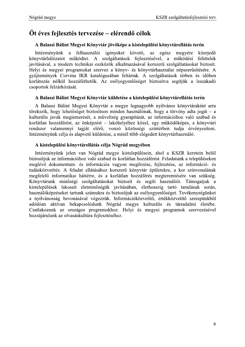### Öt éves fejlesztés tervezése – elérendő célok

#### A Balassi Bálint Megyei Könyvtár jövőképe a kistelepülési könyvtárellátás terén

Intézményünk a felhasználói igényeket követő, az egész megyére kiteriedő könyvtárhálózatot működtet. A szolgáltatások fejlesztésével, a működési feltételek javításával, a modern technikai eszközök alkalmazásával korszerű szolgáltatásokat biztosít. Helyi és megyei programokat szervez a könyv- és könyvtárhasználat népszerűsítésére. A gyűjtemények Corvina IKR katalógusában feltártak. A szolgáltatások térben és időben korlátozás nélkül hozzáférhetők. Az esélyegyenlőséget biztosítva segítjük a leszakadó csoportok felzárkózását.

#### A Balassi Bálint Megyei Könyvtár küldetése a kistelepülési könyvtárellátás terén

A Balassi Bálint Megyei Könyvtár a megye legnagyobb nyilvános könyvtáraként arra törekszik, hogy lehetőséget biztosítson minden használónak, hogy a törvény adta jogát – a kulturális javak megismerését, a műveltség gyarapítását, az információhoz való szabad és korlátlan hozzáférést, az önképzést – lakóhelyéhez közel, egy működőképes, a könyvtári rendszer valamennyi tagját elérő, vonzó közösségi színtérben tudja érvényesíteni. Intézményünk célja és alapvető küldetése, a minél több elégedett könyvtárhasználó.

#### A kistelepülési könyvtárellátás célja Nógrád megyében

Intézményünk jelen van Nógrád megye kistelepülésein, ahol a KSZR keretein belül biztosítjuk az információhoz való szabad és korlátlan hozzáférést. Feladatunk a településeken meglévő dokumentum- és információs vagyon megőrzése, fejlesztése, az információ- és tudásközvetítés. A feladat ellátásához korszerű könyvtár épületekre, a kor színvonalának megfelelő informatikai háttérre, és a korlátlan hozzáférés megteremtésére van szükség. Könyvtárunk minőségi szolgáltatásokat biztosít és segíti használóit. Támogatjuk a kistelepülések lakosait életminőségük javításában, élethosszig tartó tanulásuk során, használóképzéseket tartunk számukra és biztosítjuk az esélyegyenlőséget. Tevékenységünket a nyilvánosság bevonásával végezzük. Információközvetítő, értékközvetítő szerepünkből adódóan aktívan bekapcsolódunk Nógrád megye kulturális és társadalmi életébe. Csatlakozunk az országos programokhoz. Helyi és megyei programok szervezésével hozzájárulunk az olvasáskultúra fejlesztéséhez.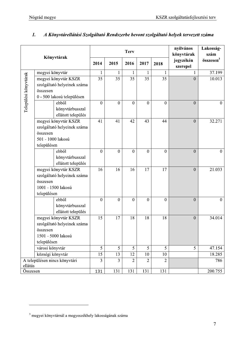|                       |                                |                |                  | <b>Terv</b>    | nyilvános<br>könyvtárak | Lakosság-<br>szám |                       |                       |
|-----------------------|--------------------------------|----------------|------------------|----------------|-------------------------|-------------------|-----------------------|-----------------------|
|                       | Könyvtárak                     | 2014           | 2015             | 2016           | 2017                    | 2018              | jegyzékén<br>szerepel | összesen <sup>3</sup> |
|                       | megyei könyvtár                | 1              | 1                | 1              | 1                       | 1                 | 1                     | 37.199                |
|                       | megyei könyvtár KSZR           | 35             | 35               | 35             | 35                      | 35                | $\boldsymbol{0}$      | 10.013                |
|                       | szolgáltató helyeinek száma    |                |                  |                |                         |                   |                       |                       |
|                       | összesen                       |                |                  |                |                         |                   |                       |                       |
| Települési könyvtárak | 0 - 500 lakosú településen     |                |                  |                |                         |                   |                       |                       |
|                       | ebből                          | $\mathbf{0}$   | $\overline{0}$   | $\mathbf{0}$   | $\mathbf{0}$            | $\overline{0}$    | $\overline{0}$        | $\theta$              |
|                       | könyvtárbusszal                |                |                  |                |                         |                   |                       |                       |
|                       | ellátott település             |                |                  |                |                         |                   |                       |                       |
|                       | megyei könyvtár KSZR           | 41             | 41               | 42             | 43                      | 44                | $\boldsymbol{0}$      | 32.271                |
|                       | szolgáltató helyeinek száma    |                |                  |                |                         |                   |                       |                       |
|                       | összesen                       |                |                  |                |                         |                   |                       |                       |
|                       | 501 - 1000 lakosú              |                |                  |                |                         |                   |                       |                       |
|                       | településen                    |                |                  |                |                         |                   |                       |                       |
|                       | ebből                          | $\mathbf{0}$   | $\boldsymbol{0}$ | $\overline{0}$ | $\boldsymbol{0}$        | $\mathbf{0}$      | $\overline{0}$        | $\mathbf{0}$          |
|                       | könyvtárbusszal                |                |                  |                |                         |                   |                       |                       |
|                       | ellátott település             |                |                  |                |                         |                   |                       |                       |
|                       | megyei könyvtár KSZR           | 16             | 16               | 16             | 17                      | 17                | $\mathbf{0}$          | 21.033                |
|                       | szolgáltató helyeinek száma    |                |                  |                |                         |                   |                       |                       |
|                       | összesen<br>1001 - 1500 lakosú |                |                  |                |                         |                   |                       |                       |
|                       | településen                    |                |                  |                |                         |                   |                       |                       |
|                       | ebből                          | $\mathbf{0}$   | $\boldsymbol{0}$ | $\mathbf{0}$   | $\boldsymbol{0}$        | $\boldsymbol{0}$  | $\mathbf{0}$          | $\mathbf{0}$          |
|                       | könyvtárbusszal                |                |                  |                |                         |                   |                       |                       |
|                       | ellátott település             |                |                  |                |                         |                   |                       |                       |
|                       | megyei könyvtár KSZR           | 15             | 17               | 18             | 18                      | 18                | $\mathbf{0}$          | 34.014                |
|                       | szolgáltató helyeinek száma    |                |                  |                |                         |                   |                       |                       |
|                       | összesen                       |                |                  |                |                         |                   |                       |                       |
|                       | 1501 - 5000 lakosú             |                |                  |                |                         |                   |                       |                       |
|                       | településen                    |                |                  |                |                         |                   |                       |                       |
|                       | városi könyvtár                | 5              | 5                | 5              | 5                       | 5                 | 5                     | 47.154                |
|                       | községi könyvtár               | 15             | 13               | 12             | 10                      | 10                |                       | 18.285                |
|                       | A településen nincs könyvtári  | $\overline{3}$ | $\overline{3}$   | $\overline{2}$ | $\overline{2}$          | $\overline{2}$    |                       | 786                   |
| ellátás               |                                |                |                  |                |                         |                   |                       |                       |
| Összesen              |                                | 131            | 131              | 131            | 131                     | 131               |                       | 200.755               |

#### $\mathbf{I}$ . A Könyvtárellátási Szolgáltató Rendszerbe bevont szolgáltató helyek tervezett száma

 $^3$  megyei könyvtárnál a megyeszékhely lakosságának száma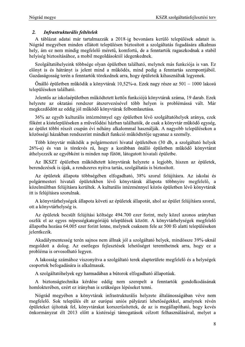Nógrád megye<br> **Example 1988** - KSZR szolgáltatásfejlesztési terv<br>
2. **Infrastrukturális feltételek**<br>
A táblázat adatai már tartalmazzák a 2018-ig bevonásra kerülő települések adatait is.<br>
Nógrád megyében minden ellátott te rad megyeben minden ellatott települesen biztosított a szolgaltatas fogadasara alkalmas hely, am ez nem mindig megfelelő meretű, komfortu, de a fenntartok ragaszkodnak a stabil helyiség biztosításához, a mobil megoldásoktól idegenkednek.

Szolgaltatohelyeink többsege olyan epületben talalhato, melynek mas funkcioja is van. Ez elonyt is es hatranyt is jelent mind a mukodes, mind pedig a fenntartas szempontjabol. Gazdasagossag teren a fenntartok torekednek arra, hogy epuleteik kihasznaltak legyenek.

Onalio epuletben mukodik a konyvtarak 10,52%-a. Ezek nagy resze az 501 – 1000 lakosu településeken található.

Jelentős az iskolaépületben működtetett kettős funkciójú könyvtárak száma, 19 darab. Ezek helyzete az oktatási rendszer átszervezésével több helyen is problémássá vált. Már megkezdodott az eddig jol mukodo konyvtarak felbomlasztasa.

36% az egyeb kulturális intezmennyel egy epületben levő szólgaltatohelyek aranya, ezek fokent a kistelepüleseken a muvelodesi hazban talalhatok, de csak a konyvtar mukodo egyseg, az epület többi reszet csupan évi néhány alkalommal használjak. A nagyobb településeken a közössegi hazakban rendszerint mindket funkció működtetője ugyanaz a szemely.

Tobb konyvtar mukodik a polgarmesteri hivatal epuleteben (30 db, a szolgaltato helyek 26%-a) es van is torekves ra, hogy a korabban onallo epuletben mukodo konyvtarat athelyezzek az egyebkent is minden nap futott, latogatott hivatali epuletbe.

Az IKSZT epületben mukodtetett konyvtarak helyzete a legjobb, hiszen az epületek, berendezesek is ujak, a rendszeres nyitva tartas, szolgaltatas is biztosított.

Az epületek allapota többsegeben elfogadhato, 38% szorul felujításra. Az iskolai és polgarmesteri hivatali epületekben levo konyvtarak allapota tobbnyire megfelelö, a közelmúltban felújításra kerültek. A kulturális intézménnyel közös épületben lévő könyvtárak itt is felújításra szorulnak.

A könyvtárhelységek allapota követi az épületek allapotat, ahol az épület felújításra szorul, ott a könyvtärhelyseg is.

Az epületek becsült felüjítási költsége 494.700 ezer forint, mely közel azonos aranyban oszlik el az egyes nepessegkategoriaju települések között. A konyvtarhelységek megfelelő állapotba hozása 64.005 ezer forint lenne, melynek csaknem fele az 500 fő alatti településeken jelentkezik.

Akadalymentesseg teren sajnos nem allnak jol a szolgaltato helyek, mindőssze 39%-uknal megoldott a dolog. Az esetleges fejlesztesek lehetőséget teremthetnek arra, hogy éz a problema is orvosolhato legyen.

A lakossag szamahoz viszonyítva a szolgaltato terek alapterülete megfelelő és a helységek csoportok befogadasara is alkalmasak.

A szolgáltatóhelyek egy harmadában a butorok elfogadható állapotúak.

A biztonsagtechnika kerdese eddig nem szerepelt a fenntartok gondolkodasanak homloktereben, ezert ez iranyban is szukseges lepeseket tenni.

Nograd megyeben a konyvtarak infrastrukturalis helyzete altalanossagaban veve nem megfelelo. Sok telepules elt az europai unios palyazati lehetosegekkel, amelynek reven epuleteket ujitottak fel, konyvtarakat korszerusitettek, de az is megallapíthato, hogy keves önkormanyzat elt 2013 elött a kistersegi tamogatasok celzött felhasznalasaval, melyet a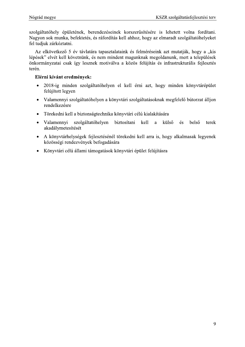szolgáltatóhely épületének, berendezéseinek korszerűsítésére is lehetett volna fordítani. Nagyon sok munka, befektetés, és ráfordítás kell ahhoz, hogy az elmaradt szolgáltatóhelyeket fel tudjuk zárkóztatni.

Az elkövetkező 5 év távlatára tapasztalataink és felméréseink azt mutatják, hogy a "kis lépések" elvét kell követnünk, és nem mindent magunknak megoldanunk, mert a települések önkormányzatai csak így lesznek motiválva a közös felújítás és infrastrukturális fejlesztés terén.

- 2018-ig minden szolgáltatóhelyen el kell érni azt, hogy minden könyvtárépület  $\bullet$ felújított legyen
- Valamennyi szolgáltatóhelyen a könyvtári szolgáltatásoknak megfelelő bútorzat álljon  $\bullet$ rendelkezésre
- Törekedni kell a biztonságtechnika könyvtári célú kialakítására  $\bullet$
- Valamennyi szolgáltatóhelyen biztosítani kell külső belső a és terek  $\bullet$ akadálymetesítését
- A könyvtárhelységek fejlesztésénél törekedni kell arra is, hogy alkalmasak legyenek  $\bullet$ közösségi rendezvények befogadására
- Könyvtári célú állami támogatások könyvtári épület felújításra  $\bullet$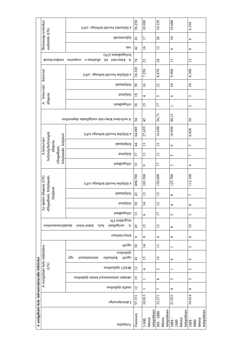|                                                 | Biztonság-technikai         |                                                            | a fejlesztés becsült költsége (eFt)                                                                            | 38.250                           | 10.980                         | 10.320                              | 10.600                                | 6.350                                 |
|-------------------------------------------------|-----------------------------|------------------------------------------------------------|----------------------------------------------------------------------------------------------------------------|----------------------------------|--------------------------------|-------------------------------------|---------------------------------------|---------------------------------------|
|                                                 |                             | eszközök (I/N)                                             | öbnətsaliət                                                                                                    | $\overline{6}$                   | $\overline{17}$                | 28                                  | $\supseteq$                           | $\circ$                               |
|                                                 |                             |                                                            | <b>UPA</b>                                                                                                     | 42                               | $\geq$                         | $\overline{c}$                      | $\circ$                               | $\infty$                              |
|                                                 |                             | rendezvények                                               | befogadására $\left({\rm I/N}\right)$<br>KÖnyvtári<br>alkalmas-e csoportos<br>191<br>$\boldsymbol{\mathrm{V}}$ | $\overline{7}$                   | $\overline{21}$                | 28                                  | 13                                    | $\overline{2}$                        |
|                                                 | bútorzat                    |                                                            | a felújítás becsült költsége (eFt)                                                                             | 34.320                           | 7.250                          | 8.870                               | 9.900                                 | 8.300                                 |
|                                                 |                             |                                                            | felújítandó                                                                                                    | 58                               | $\frac{6}{2}$                  | 22                                  | $\supseteq$                           | $\overline{\phantom{0}}$              |
|                                                 | A könyvtári                 |                                                            | felújítot                                                                                                      | $\overline{18}$                  | 4                              | 5                                   | $\circ$                               | $\mathfrak{c}$                        |
|                                                 |                             | állapota                                                   | elfogadható                                                                                                    | 38                               | $\overline{15}$                | $\overline{17}$                     |                                       | $\sim$                                |
|                                                 |                             |                                                            | A nyilvános könyvtári szolgáltatás alapte<br>tilvet $\boldsymbol{A}$                                           | 54                               | 45                             | 56,73                               | 80,31                                 | $50\,$                                |
|                                                 |                             |                                                            | a felújítás becsült költsége (eFt)                                                                             | 64.005                           | 27.655                         | 16.650                              | 10.850                                | 8.850                                 |
|                                                 | A könyvtári                 | helyiség/helyiségek<br>felújítandó, felújított<br>állapota | felújítandó                                                                                                    | $\frac{4}{3}$                    | 13                             | $\overline{15}$                     | $\circ$                               | $\overline{ }$                        |
|                                                 |                             | elfogadható,                                               | felújított                                                                                                     | 57                               | 13                             | $\overline{c}$                      | S                                     | $\overline{ }$                        |
|                                                 |                             |                                                            | elfogadható                                                                                                    | 33                               | $\circ$                        | 17                                  | $\epsilon$                            | 4                                     |
|                                                 | ület állapota (I/N)         | elfogadható, felújítandó,                                  | a felújítás becsült költsége (eFt)                                                                             | 494.700                          | 103.300                        | 150.600                             | 125.700                               | 115.100                               |
|                                                 |                             | felújított                                                 | felújítandó                                                                                                    | 43                               | 13                             | $\overline{15}$                     | $\infty$                              | $\overline{ }$                        |
|                                                 | Az épi                      |                                                            | felújíct                                                                                                       | 85                               | $\overline{1}$                 | $\overline{12}$                     | 4                                     | $\infty$                              |
|                                                 |                             |                                                            | elfogadható                                                                                                    | 33                               | $\infty$                       | $\overline{17}$                     | $\sigma$                              | $\sim$                                |
|                                                 |                             | akadálymentesítése                                         | N/I noblogem<br>otailàglosa<br>pejλ<br>valsó-belső<br>A                                                        | 45                               | 15                             | 12                                  | $\infty$                              | $\Box$                                |
|                                                 |                             |                                                            | könyvtátbansz                                                                                                  | $\circ$                          | $\circ$                        | $\circ$                             | $\circ$                               | $\circ$                               |
|                                                 |                             |                                                            | egyéb                                                                                                          | $30\,$                           | $\overline{1}$                 | 13                                  |                                       | $\mathbf{C}$                          |
|                                                 | A szolgáltató hely működése |                                                            | ebiletben<br>лЗэ<br>intézménnyel<br>eavéb<br>kulturális                                                        |                                  |                                |                                     |                                       |                                       |
|                                                 |                             | $\widetilde{E}$                                            | IKSZT épületében                                                                                               | $\overline{4}$<br>$\overline{c}$ | 15                             | $\overline{4}$                      | $\circ$                               | $\circ$                               |
|                                                 |                             |                                                            | oktatási intézménnyel közös épületben                                                                          |                                  | 4                              | $\sim$                              |                                       | $\sim$                                |
|                                                 |                             |                                                            | önálló épületben                                                                                               | $\overline{19}$                  |                                | ∞                                   | 5                                     | $\mathbf{\hat{z}}$                    |
|                                                 |                             |                                                            |                                                                                                                | $\overline{c}$                   |                                | $\overline{ }$                      | 4                                     | $\circ$                               |
|                                                 |                             |                                                            | Lakónépessége                                                                                                  | 97.331                           | 10.013                         | 32.271                              | 21.033                                | 34.014                                |
| A szolgáltató hely infrastrukturális feltételei |                             |                                                            | $\mathop{\mathrm{rel}}\nolimits$                                                                               | Osszesen                         | településen<br>lakosú<br>1-500 | településen<br>501 - 1000<br>lakosú | településen<br>lakosú<br>1500<br>1001 | településen<br>lakosú<br>5000<br>1501 |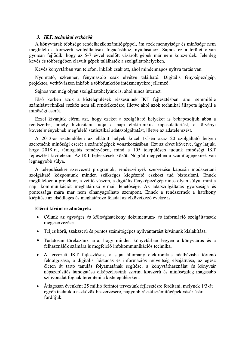#### 3. IKT, technikai eszközök

A könyvtárak többsége rendelkezik számítógéppel, ám ezek mennyisége és minősége nem megfelelő a korszerű szolgáltatások fogadásához, nyújtásához. Sajnos ez a terület olyan gyorsan fejlődik, hogy az 5-7 évvel ezelőtt vásárolt gépek már nem korszerűek. Jelenleg kevés és többségében elavult gépek találhatók a szolgáltatóhelyeken.

Kevés könyvtárban van telefon, inkább csak ott, ahol mindennapos nyitva tartás van.

Nyomtató, szkenner, fénymásoló csak elvétve található. Digitális fényképezőgép, projektor, vetítővászon inkább a többfunkciós intézményekre jellemző.

Sajnos van még olyan szolgáltatóhelyünk is, ahol nincs internet.

Első körben azok a kistelepülések részesülnek IKT fejlesztésben, ahol semmiféle számítástechnikai eszköz nem áll rendelkezésre, illetve ahol azok technikai állapota igényli a minőségi cserét.

Ezzel kívánjuk elérni azt, hogy ezeket a szolgáltató helyeket is bekapcsoljuk abba a rendszerbe, amely biztosítani tudia a napi elektronikus kapcsolattartást, a törvényi követelményeknek megfelelő statisztikai adatszolgáltatást, illetve az adatelemzést.

A 2013-as esztendőben az ellátott helyek közel 1/5-én azaz 20 szolgáltató helyen szeretnénk minőségi cserét a számítógépek vonatkozásában. Ezt az elvet követve, úgy látjuk, hogy 2018-ra, támogatás reményében, mind a 105 településen tudunk minőségi IKT fejlesztést kivitelezni. Az IKT fejlesztések között Nógrád megyében a számítógépeknek van legnagyobb súlya.

A településekre szervezett programok, rendezvények szervezése kapcsán módszertani szolgáltató központunk minden szükséges kiegészítő eszközt tud biztosítani. Ennek megfelelően a projektor, a vetítő vászon, a digitális fényképezőgép nincs olyan súlyú, mint a napi kommunikációt meghatározó e-mail lehetősége. Az adatszolgáltatás gyorsasága és pontossága mára már nem elhanyagolható szempont. Ennek a rendszernek a hatékony kiépítése az elsődleges és meghatározó feladat az elkövetkező évekre is.

- · Célunk az egységes és költséghatékony dokumentum- és információ szolgáltatások megszervezése.
- Teljes körű, szakszerű és pontos számítógépes nyilvántartást kívánunk kialakítása.
- · Tudatosan törekszünk arra, hogy minden könyvtárban legyen a könyvtáros és a felhasználók számára is megfelelő infokommunikációs technika.
- A tervezett IKT fejlesztések, a saját állomány elektronikus adatbázisba történő feldolgozása, a digitális írástudás és információs műveltség elsajátítása, az egész életen át tartó tanulás folyamatának segítése, a könyvtárhasználat és könyvtár népszerűsítés támogatása elképzeléseink szerint korszerű és minőségileg magasabb színvonalat fognak teremteni a kistelepüléseken.
- Átlagosan évenként 25 millió forintot tervezünk fejlesztésre fordítani, melynek 1/3-át egyéb technikai eszközök beszerzésére, nagyobb részét számítógépek vásárlására fordítiuk.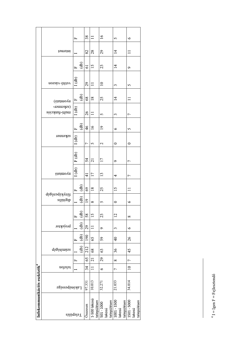| Infokommunikációs eszközök <sup>4</sup> |                      |                |                 |                |                      |             |                         |                            |                                |                        |         |                |                             |                              |                                |                             |                |                            |                 |
|-----------------------------------------|----------------------|----------------|-----------------|----------------|----------------------|-------------|-------------------------|----------------------------|--------------------------------|------------------------|---------|----------------|-----------------------------|------------------------------|--------------------------------|-----------------------------|----------------|----------------------------|-----------------|
|                                         | <b>Lakónépessége</b> | telefon        |                 | dəgötimisze    |                      | brojektor   |                         | fényképezőgép<br>digitalis |                                | otsimovn               |         | zykenner       |                             | (szkenner-<br>multi-funkciós | (отниоли                       | uozsga-ouuan                |                | internet                   |                 |
| Település                               |                      |                | $\mathbf{L}$    | $\overline{d}$ | $\overline{d}$<br>匞  | $\ddot{d}b$ | ्क<br>स<br>$\mathbf{L}$ | <u>(අ</u>                  | $\overline{d}$<br>$\mathbf{L}$ | $1$ (db) $\mid$ F (db) |         | 1(db)          | $\bigoplus$<br>$\mathbf{L}$ | 1(db)                        | $\overline{d}$<br>$\mathbf{L}$ | 1(db)                       | $E \oplus$     |                            | щ               |
| <b>Jsszesen</b>                         | 97.331               | 34             | 65              | 212            | 190                  | 29          | 58                      | $\overline{19}$            | 69                             | $\overline{4}$         | 54      | $\overline{ }$ | $\frac{4}{6}$               | $\delta$                     | $\sqrt{8}$                     | $\mathcal{L}^{\mathcal{G}}$ | $\overline{6}$ | $\boldsymbol{\mathcal{S}}$ | 38              |
| 1-500 lakosú<br>településen             | 10.013               | $\Box$         | $\overline{21}$ | 68             | 65                   |             | $\frac{15}{2}$          | $\infty$                   | $\overline{18}$                | $\overline{17}$        | 21      | 5              | $\overline{16}$             | $\Box$                       | $\overline{18}$                |                             | 15             | 28                         | $\Box$          |
| településen<br>$501 - 1000$<br>lakosú   | 32.271               | $\circ$        | 29              | 63             | 59                   | Ç           | 23                      | $\sigma$                   | 25                             | $\frac{13}{2}$         | 17      | 2              | $\overline{19}$             | $\overline{5}$               | 25                             | $\overline{10}$             | 23             | 29                         | $\overline{16}$ |
| 1001 - 1500<br>településen<br>lakosú    | 21.033               | $\overline{ }$ | $\infty$        | 36             | $\frac{4}{\sqrt{2}}$ | 3           | $\overline{c}$          | $\bullet$                  | 15                             | 4                      | $\circ$ | ⊂              | $\circ$                     | 3                            | $\overline{4}$                 | 3                           | $\overline{4}$ | $\vec{4}$                  | 5               |
| 1501 - 5000<br>településen<br>lakosú    | 34.014               | $\supseteq$    | $\overline{a}$  | 45             | 26                   | ৩           | $\infty$                | $\bullet$                  |                                | 7                      | 7       | 0              | $\sim$                      | $\overline{ }$               |                                | 5                           | $\sigma$       |                            | $\circ$         |

 $^4$ I = Igen F = Fejlesztendő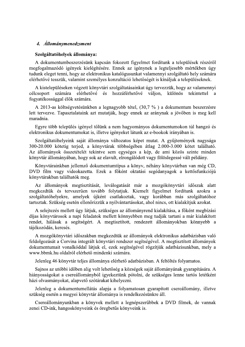#### 4. *Állománymenedzsment*

#### Szolgáltatóhelyek állománya:

A dokumentumbeszerzésünk kapcsán fokozott figyelmet fordítunk a települések részéről megfogalmazódó igények kielégítésére. Ennek az igénynek a legteljesebb mértékben úgy tudunk eleget tenni, hogy az elektronikus katalógusunkat valamennyi szolgáltató hely számára elérhetővé tesszük, valamint személyes konzultáció lehetőségét is kínáljuk a településeknek.

A kistelepüléseken végzett könyvtári szolgáltatásainkat úgy tervezzük, hogy az valamennyi számára elérhetővé és hozzáférhetővé váljon, különös célcsoport tekintettel  $\overline{a}$ fogyatékossággal élők számára.

A 2013-as költségvetésünkben a legnagyobb tétel, (30,7 %) a dokumentum beszerzésre lett tervezve. Tapasztalataink azt mutatják, hogy ennek az aránynak a jövőben is meg kell maradnia.

Egyre több település igényel tőlünk a nem hagyományos dokumentumokon túl hangzó és elektronikus dokumentumokat is, illetve igényeket látunk az e-bookok irányában is.

Szolgáltatóhelyeink saját állománya változatos képet mutat. A gyűjtemények nagysága 300-20.000 kötetig terjed, a könyvtárak többségében átlag 2.000-3.000 kötet található. Az állományok összetételét tekintve sem egységes a kép, de ami közös szinte minden könyvtár állományában, hogy sok az elavult, elrongálódott vagy fölöslegessé vált példány.

Könyvtárainkban jellemző dokumentumtípus a könyv, néhány könyvtárban van még CD, DVD film vagy videokazetta. Ezek a főként oktatási segédanyagok a kettősfunkciójú könyvtárakban találhatók meg.

Az állományok megtisztítását, leválogatását már a mozgókönyvtári időszak alatt megkezdtük és tervszerűen tovább folytatjuk. Kiemelt figyelmet fordítunk azokra a szolgáltatóhelyekre, amelyek újként csatlakoztak, vagy korábban más szolgáltatóhoz tartoztak. Szükség esetén ellenőrizzük a nyilvántartásokat, ahol nincs, ott kialakítjuk azokat.

A selejtezés mellett úgy látjuk, szükséges az állományrend kialakítása, a főként megbízási díjas könyvtárosok a napi feladatok mellett könnyebben meg tudják tartani a már kialakított rendet, hálásak a segítségért. A megtisztított, rendezett állományokban könnyebb a tájékozódás, keresés.

A mozgókönyvtári időszakban megkezdtük az állományok elektronikus adatbázisban való feldolgozását a Corvina integrált könyvtári rendszer segítségével. A megtisztított állományok dokumentumait vonalkóddal látjuk el, ezek segítségével rögzítjük adatbázisunkban, mely a www.bbmk.hu oldalról elérhető mindenki számára.

Jelenleg 46 könyvtár teljes állománya elérhető adatbázisban. A feltöltés folyamatos.

Sajnos az utóbbi időben alig volt lehetőség a községek saját állományának gyarapítására. A hiányosságokat a csereállományból igyekeztünk pótolni, de szükséges lenne tartós letétként házi olvasmányokat, alapvető szótárakat kihelyezni.

Jelenleg a dokumentumellátás alapja a folyamatosan gyarapított csereállomány, illetve szükség esetén a megyei könyvtár állománya is rendelkezésünkre áll.

Csereállományunkban a könyvek mellett a legnépszerűbbek a DVD filmek, de vannak zenei CD-ink, hangoskönyveink és öregbetűs könyveink is.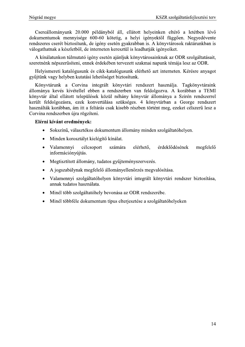Csereállományunk 20.000 példányból áll, ellátott helyeinken eltérő a letétben lévő dokumentumok mennyisége 600-60 kötetig, a helyi igényektől függően. Negyedévente rendszeres cserét biztosítunk, de igény esetén gyakrabban is. A könyvtárosok raktárunkban is válogathatnak a készletből, de interneten keresztül is leadhatják igényeiket.

A kínálatunkon túlmutató igény esetén ajánljuk könyvtárosainknak az ODR szolgáltatásait, szeretnénk népszerűsíteni, ennek érdekében tervezett szakmai napunk témája lesz az ODR.

Helyismereti katalógusunk és cikk-katalógusunk elérhető azt interneten. Kérésre anyagot gyűjtünk vagy helyben kutatási lehetőséget biztosítunk.

Könyvtárunk a Corvina integrált könyvtári rendszert használja. Tagkönyvtáraink állománya kevés kivétellel ebben a rendszerben van feldolgozva. A korábban a TEMI könyvtár által ellátott települések közül néhány könyvtár állománya a Szirén rendszerrel került feldolgozásra, ezek konvertálása szükséges. 4 könyvtárban a George rendszert használták korábban, ám itt a feltárás csak kisebb részben történt meg, ezeket célszerű lesz a Corvina rendszerben újra rögzíteni.

- Sokszínű, választékos dokumentum állomány minden szolgáltatóhelyen.
- Minden korosztályt kielégítő kínálat.  $\bullet$
- Valamennyi célcsoport számára elérhető, érdeklődésének megfelelő  $\bullet$ információnyújtás.
- Megtisztított állomány, tudatos gyűjteményszervezés.  $\bullet$
- A jogszabálynak megfelelő állományellenőrzés megvalósítása.
- Valamennyi szolgáltatóhelyen könyvtári integrált könyvtári rendszer biztosítása, annak tudatos használata.
- Minél több szolgáltatóhely bevonása az ODR rendszerébe.
- Minél többféle dokumentum típus elterjesztése a szolgáltatóhelyeken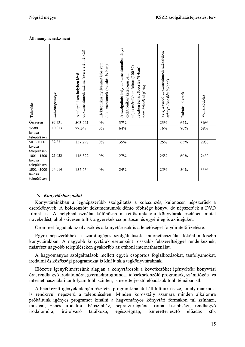| Nógrád megye                           |                     |                                                                      |                                                                   |                                                                                                                                                                        |                                                                | KSZR szolgáltatásfejlesztési terv |              |
|----------------------------------------|---------------------|----------------------------------------------------------------------|-------------------------------------------------------------------|------------------------------------------------------------------------------------------------------------------------------------------------------------------------|----------------------------------------------------------------|-----------------------------------|--------------|
|                                        | Állománymenedzsment |                                                                      |                                                                   |                                                                                                                                                                        |                                                                |                                   |              |
| Település                              | Lakónépessége       | dokumentumok száma (csereletét nélkül)<br>A településen helyben lévő | Elektronikus nyilvántartásba vett<br>dokumentumok (becslés %-ban) | A szolgáltató hely dokumentumállománya<br>teljes mértékben feltárt (100 %)<br>részben feltárt (becslés %-ban)<br>elektronikus katalógusban:<br>nem érhető el $(0\ \%)$ | Selejtezendő dokumentumok százalékos<br>aránya (becslés %-ban) | Raktári jelzetek                  | Vonalkódolás |
| Összesen                               | 97.331              | 503.221                                                              | $0\%$                                                             | 37%                                                                                                                                                                    | 23%                                                            | 64%                               | 36%          |
| 1-500<br>lakosú<br>településen         | 10.013              | 77.348                                                               | $\overline{0\%}$                                                  | 64%                                                                                                                                                                    | 16%                                                            | 80%                               | 58%          |
| $501 - 1000$<br>lakosú<br>településen  | 32.271              | 157.297                                                              | $0\%$                                                             | 35%                                                                                                                                                                    | 25%                                                            | 65%                               | 29%          |
| $1001 - 1500$<br>lakosú<br>településen | 21.033              | 116.322                                                              | $0\%$                                                             | 27%                                                                                                                                                                    | 25%                                                            | 60%                               | 24%          |
| 1501 - 5000<br>lakosú<br>településen   | 34.014              | 152.254                                                              | $0\%$                                                             | 24%                                                                                                                                                                    | 25%                                                            | 50%                               | 33%          |

#### 5. Könyvtárhasználat

Konyvtarainkban a legnepszerubb szolgaltatas a kolcsonzes, kulonosen nepszeruek a cserekonyvek. A kolcsonzott dokumentumok donto tobbsege konyv, de nepszeruek a DVD filmek is. A helybenhasználat különösen a kettősfunkciójú könyvtárak esetében mutat novekedest, ahol szívesen töltik a gyerekek csoportosan és egyenileg is az idejüket.

Orommel fogadtak az olvasok és a konyvtárosok is a lehetőséget folyoiratelőfizetésre.

Egyre nepszerubbek a szamitogepes szolgaltatasok, internethasznalat fokent a kisebb konyvtarakban. A nagyobb konyvtarak esetenkent rosszabb felszereltseggel rendelkeznek, masreszt nagyobb települeseken gyakoribb az otthoni internethasznalat.

A hagyomanyos szolgaltatasok mellett egyeb csoportos foglalkozasokat, tanfolyamokat, irodalmi es kozossegi programokat is kinalunk a tagkonyvtaraknak.

Elozetes igenyfelmeresunk alapjan a konyvtarosok a kovetkezoket igenyeltek: konyvtari ora, rendhagyo irodalomora, gyermekprogramok, idoseknek szolo programok, szamitogep- es internet használati tanfolyam több szinten, ismeretterjesztő előadások több témában stb.

A beerkezett igenyek alapjan reszletes programkinalatot allitottunk össze, amely mar most is rendkívül népszerű a településeken. Minden korosztály számára minden alkalomra probaltunk igenyes programot kinalni a hagyomanyos konyvtari formakon tul szinhazi, musical, zenes irodalmi, babszinhaz, neprajzi-neptanc, roma kisebbsegi, rendhagyo irodalomóra, író-olvasó találkozó, egészségnap, ismeretterjesztő előadás stb.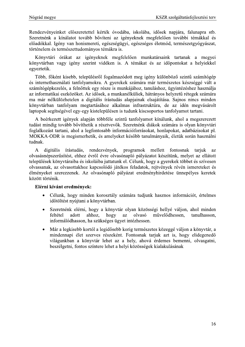Rendezvényeinket előszeretettel kérték óvodába, iskolába, idősek napjára, falunapra stb. Szeretnénk a kínálatot tovább bővíteni az igényeknek megfelelően további témákkal és előadókkal. Igény van honismereti, egészségügyi, egészséges életmód, természetgyógyászat, történelem és természettudományos témákra is.

Könyvtári órákat az igényeknek megfelelően munkatársaink tartanak a megyei könyvtárban vagy igény szerint vidéken is. A témákat és az időpontokat a helyiekkel egyeztetik.

Több, főként kisebb, településről fogalmazódott meg igény különböző szintű számítógép és internethasználati tanfolyamokra. A gyerekek számára már természetes készséggé vált a számítógépkezelés, a felnőttek egy része is munkájához, tanuláshoz, ügyintézéshez használja az informatikai eszközöket. Az idősek, a munkanélküliek, hátrányos helyzetű rétegek számára ma már nélkülözhetelen a digitális írástudás alapjainak elsajátítása. Sajnos nincs minden könyvtárban tanfolyam megtartásához alkalmas infrastruktúra, de az idén megyásárolt laptopok segítségével egy-egy kistelepülésen is tudunk kiscsoportos tanfolyamot tartani.

A beérkezett igények alapján többféle szintű tanfolyamot kínálunk, ahol a megszerezett tudást mindig tovább bővíthetik a résztvevők. Szeretnénk diákok számára is olyan könyvtári foglalkozást tartani, ahol a legfontosabb információforrásokat, honlapokat, adatbázisokat pl. MOKKA-ODR is megismerhetik, és amelyeket később tanulmányaik, életük során használni tudnak.

digitális írástudás, rendezvények, programok mellett fontosnak tariuk  $\mathbf{A}$ az olvasásnépszerűsítést, ehhez évről évre olvasónapló pályázatot készítünk, melyet az ellátott települések könyvtáraiba és iskoláiba juttatunk el. Célunk, hogy a gyerekek többet és szívesen olvassanak, az olvasottakhoz kapcsolódó játékos feladatok, rejtvények révén ismereteket és élményeket szerezzenek. Az olvasónapló pályázat eredményhirdetése ünnepélyes keretek között történik.

- Célunk, hogy minden korosztály számára tudjunk hasznos információt, értelmes időtöltést nyújtani a könyvtárban.
- Szeretnénk elérni, hogy a könyvtár olyan közösségi hellyé váljon, ahol minden feltétel adott ahhoz. hogy  $az$ olvasó művelődhessen. tanulhasson. informálódhasson, ha szükséges ügyet intézhessen.
- Már a legkisebb kortól a legidősebb korig természetes közeggé váljon a könyvtár, a mindennapi élet szerves részeként. Fontosnak tarjuk azt is, hogy elidegenedő világunkban a könyvtár lehet az a hely, ahová érdemes bemenni, olvasgatni, beszélgetni, fontos színtere lehet a helyi közösségek kialakulásának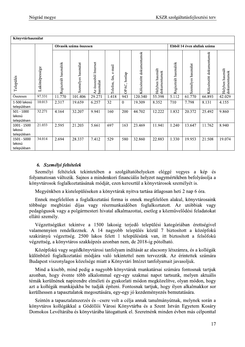|                                        | Nógrád megye  |                       |                        |                                    |                            |                |                          |                                  |                       |                             | KSZR szolgáltatásfejlesztési terv |                                  |
|----------------------------------------|---------------|-----------------------|------------------------|------------------------------------|----------------------------|----------------|--------------------------|----------------------------------|-----------------------|-----------------------------|-----------------------------------|----------------------------------|
| Könyvtárhasználat                      |               |                       |                        |                                    |                            |                |                          |                                  |                       |                             |                                   |                                  |
|                                        |               |                       | Olvasók száma összesen |                                    |                            |                |                          |                                  |                       | Ebből 14 éven aluliak száma |                                   |                                  |
| Település                              | Lakónépessége | Regisztrált használók | Személyes használat    | Az összesből Internet<br>használat | $e$ -mail<br>Telefon, fax, | OPAC, honlap   | Kölcsönzött dokumentumok | Helyben használt<br>dokumentumok | Regisztrált használók | Személyes használat         | Kölcsönzött dokumentumok          | Helyben használt<br>dokumentumok |
| Összesen                               | 97.331        | 11.770                | 101.406                | 29.271                             | 1.418                      | 943            | 120.340                  | 55.398                           | 5.112                 | 61.770                      | 66.893                            | 42.029                           |
| 1-500 lakosú<br>településen            | 10.013        | 2.317                 | 19.659                 | 6.257                              | 32                         | $\overline{0}$ | 19.309                   | 8.352                            | 710                   | 7.798                       | 8.131                             | 4.155                            |
| $501 - 1000$<br>lakosú<br>településen  | 32.271        | 4.164                 | 32.207                 | 9.941                              | 160                        | 200            | 44.702                   | 12.222                           | 1.832                 | 20.372                      | 25.492                            | 9.860                            |
| $1001 - 1500$<br>lakosú<br>településen | 21.033        | 2.595                 | 21.203                 | 5.661                              | 697                        | 163            | 23.469                   | 11.941                           | 1.240                 | 13.647                      | 11.762                            | 8.940                            |
| 1501 - 5000<br>lakosú<br>településen   | 34.014        | 2.694                 | 28.337                 | 7.412                              | 529                        | 580            | 32.860                   | 22.883                           | 1.330                 | 19.953                      | 21.508                            | 19.074                           |

#### 6. Személyi feltételek

Szemelyi feltetelek tekinteteben a szolgaltatohelyeken elegge vegyes a kep es folyamatosan valtozik. Sajnos a mindenkori financialis helyzet nagymertekben befolyasolja a konyvtarosok foglalkoztatasanak modjat, ezen keresztul a konyvtarosok szemelyet is.

Megyenkben a kistelepüleseken a konyvtarak nyitva tartasa atlagosan heti 2 nap 6 ora.

Ennek megfelelően a foglalkoztatási forma is ennek megfelelően alakul, konyvtárosaink tobbsege megbizasi dijas vagy reszmunkaidoben foglalkoztatott. Az utobbiak vagy pedagogusok vagy a polgarmesteri hivatal alkalmazottai, esetleg a kozmuvelodesi feladatokat ellátó személy.

Vegzettseguket tekintve a 1500 lakosig terjedo települesi kategoriaban erettsegivel valamennyien rendelkeznek. A 14 nagyobb települes közül / biztosított a közepfoku szakirányu végzettség. 2500 lakos felett I településünk van, itt biztosított a felsőfoku vegzettseg, a kõnyvtaros szakkepzes azonban nem, de 2018-ig potolhato.

Kozepfoku vagy segedkonyvtarosi tanfolyam inditasat az alacsony letszamra, és a kollégak kulonbozo foglalkoztatasi modjara valo tekintettel nem tervezzuk. Az erintettek szamara Budapest viszonylagos közelsége miatt a Konyvtári Intezet tanfolyamait javásoljuk.

Mind a kisebb, mind pedig a nagyobb konyvtarak munkatarsai szamara fontosnak tartjuk azonban, hogy évente több alkalommal egy-egy szakmai napot tartsunk, melyen aktualis temak kerülnenek napirendre elmeleti es gyakorlatı modon megközelitve, olyan modon, hogy azt a kollegak munkajukba be tudjak epiteni. Fontosnak tartjuk, hogy ilyen alkalmakkor sor kerülhessen a tapasztalatok megosztasára, egy-egy jo kezdemenyezés bemutatására.

Szintén a tapasztalatszerzés és –csere volt a célja annak tanulmányútnak, melynek során a könyvtáros kollégakkal a Gödöllői Városi Könyvtárba és a Szent István Egyetem Kosáry Domokos Leveltaraba es kõnyvtaraba latogattunk el. Szeretnenk minden evben mas celponttal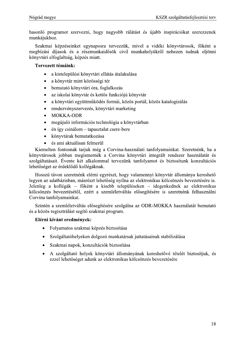hasonló programot szervezni, hogy nagyobb rálátást és újabb inspirációkat szerezzenek munkájukhoz.

Szakmai képzéseinket egynaposra tervezzük, mivel a vidéki könyvtárosok, főként a megbízási díjasok és a részmunkaidősök civil munkahelyükről nehezen tudnak eljönni könyvtári elfoglaltság, képzés miatt.

#### Tervezett témáink:

- $\bullet$ a kistelepülési könyvtári ellátás átalakulása
- a könyvtár mint közösségi tér  $\bullet$
- bemutató könyvtári óra, foglalkozás  $\bullet$
- az iskolai könyvtár és kettős funkciójú könyvtár  $\bullet$
- a könyvtári együttműködés formái, közös portál, közös katalogizálás  $\bullet$
- rendezvényszervezés, könyvtári marketing  $\bullet$
- **MOKKA-ODR**  $\bullet$
- megújuló információs technológia a könyvtárban  $\bullet$
- én így csinálom tapasztalat csere-bere  $\bullet$
- könyvtárak bemutatkozása  $\bullet$
- és ami aktuálisan felmerül  $\bullet$

Kiemelten fontosnak tarjuk még a Corvina-használati tanfolyamainkat. Szeretnénk, ha a könyvtárosok jobban megismernék a Corvina könyvtári integrált rendszer használatát és szolgáltatásait. Évente két alkalommal tervezünk tanfolyamot és biztosítunk konzultációs lehetőséget az érdeklődő kollégáknak.

Hosszú távon szeretnénk elérni egyrészt, hogy valamennyi könyvtár állománya kereshető legyen az adatbázisban, másrészt lehetőség nyílna az elektronikus kölcsönzés bevezetésére is. Jelenleg a kollégák – főként a kisebb településeken – idegenkednek az elektronikus kölcsönzés bevezetésétől, ezért a szemléletváltás elősegítésére is szeretnénk felhasználni Corvina tanfolyamainkat.

Szintén a szemléletváltás elősegítésére szolgálna az ODR-MOKKA használatát bemutató és a közös regisztrálást segítő szakmai program.

- Folyamatos szakmai képzés biztosítása
- Szolgáltatóhelyeken dolgozó munkatársak juttatásainak stabilizálása
- Szakmai napok, konzultációk biztosítása
- A szolgáltató helyek könyvtári állományának kereshetővé tételét biztosítjuk, és ezzel lehetőséget adunk az elektronikus kölcsönzés bevezetésére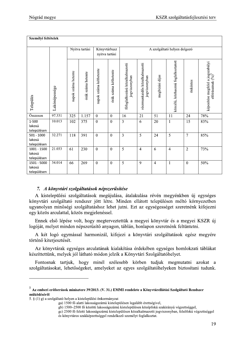| Nógrád megye                           |               |                     |                    |                                |                       |                                                 |                                                |                 |                                    |                  | KSZR szolgáltatásfejlesztési terv                                  |
|----------------------------------------|---------------|---------------------|--------------------|--------------------------------|-----------------------|-------------------------------------------------|------------------------------------------------|-----------------|------------------------------------|------------------|--------------------------------------------------------------------|
| Személyi feltételek                    |               |                     |                    |                                |                       |                                                 |                                                |                 |                                    |                  |                                                                    |
|                                        |               |                     | Nyitva tartási     | Könyvtárbusz<br>nyitva tartási |                       |                                                 |                                                |                 | A szolgáltató helyen dolgozó       |                  |                                                                    |
| Település                              | Lakónépessége | napok száma hetente | órák száma hetente | napok száma kéthetente         | órák száma kéthetente | főfoglalkozású közalkalmazotti<br>jogviszonyban | részmunkaidős közalkalmazotti<br>jogviszonyban | megbízási díjas | közcélú, közhasznú foglalkoztatott | önkéntes         | képesítése megfelel a jogszabályi<br>előírásainak $\binom{9}{6}^5$ |
| <b>Összesen</b>                        | 97.331        | 325                 | 1.157              | $\boldsymbol{0}$               | $\boldsymbol{0}$      | 16                                              | 21                                             | 51              | 11                                 | 24               | 78%                                                                |
| 1-500<br>lakosú<br>településen         | 10.013        | 102                 | 375                | $\boldsymbol{0}$               | $\overline{0}$        | 3                                               | 6                                              | 20              | $\mathbf{1}$                       | 15               | 83%                                                                |
| $501 - 1000$<br>lakosú<br>településen  | 32.271        | 118                 | 391                | $\boldsymbol{0}$               | $\mathbf{0}$          | $\overline{3}$                                  | 5                                              | 24              | 5                                  | $\overline{7}$   | 85%                                                                |
| $1001 - 1500$<br>lakosú<br>településen | 21.033        | 61                  | 230                | $\boldsymbol{0}$               | $\boldsymbol{0}$      | 5                                               | $\overline{4}$                                 | 6               | $\overline{4}$                     | $\overline{2}$   | 73%                                                                |
| 1501 - 5000<br>lakosú<br>településen   | 34.014        | 66                  | 269                | $\boldsymbol{0}$               | $\boldsymbol{0}$      | $5\overline{)}$                                 | 9                                              | $\overline{4}$  | $\mathbf{1}$                       | $\boldsymbol{0}$ | 50%                                                                |

#### 7. A könyvtári szolgáltatások népszerűsítése

A kistelepülesi szolgaltatasok megujulasa, atalakulasa reven megyenkben uj egyseges konyvtari szolgaltato rendszer jott letre. Minden ellatott településen meltő kornyezetben ugyanolyan minosegi szolgaltatashoz lehet jutni. Ezt az egysegesseget szeretnenk kifejezni egy közös arculattal, közös megjelenessel.

Ennek első lepese volt, hogy megterveztettük a megyei könyvtár és a megyei KSZR új logojat, melyet minden nepszerusito anyagon, tablan, honlapon szeretnenk feltuntetni.

A ket logo egymassal harmonizal, kifejezi a konyvtari szolgaltatasok egesz megyere történő kiterjesztését.

Az konyvtarak egységes arculatanak kialakítása erdekeben egységes homlókzati tablakat keszíttettűnk, melyek jol láthato módon jelzik a Könyvtári Szolgáltatóhelyet.

Fontosnak tartjuk, hogy minel szelesebb korben tudjuk megmutatni azokat a szolgaltatasokat, lehetőségeket, amelyeket az egyes szolgaltatohelyeken biztosítáni tudunk. IX a Konyvuari Szongantatonetyet.<br>
Fontosnak tartjuk, hogy minél szélesebb körben tudjuk megmutatni azoka<br>
szolgáltatásokat, lehetőségeket, amelyeket az egyes szolgáltatóhelyeken biztosítani tud<br> **Az emberi erőforrások min** 

<sup>)</sup> a szolgaltató helyen a kistelepülési önkormányzat

ga) 1500 to alatti lakossagszamu kistelepülesen legalabb erettsegivel,

gb) 1500–2500 to közötti lakossagszamu kistelepülésen közeptökü szakirányu vegzettséggel,

gc) 2500 to teletti lakossagszamu kistelepülesen közalkalmazotti jogviszonyban, felsofoku vegzettseggel

és könyvtáros szakképzettséggel rendelkező személyt foglalkoztat.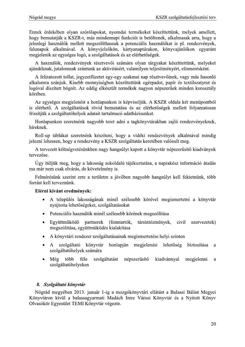Ennek érdekében olyan szórólapokat, nyomdai termékeket készíttettünk, melyek amellett, hogy bemutatják a KSZR-t, más mindennapi funkciót is betöltenek, alkalmasak arra, hogy a jelenlegi használók mellett megszólíthassuk a potenciális használókat is pl. rendezvények, falunapok alkalmával. A könyvjelzőkön, kártyanaptárakon, könyvajánlókon egyaránt megjelenik az egységes logó, a szolgáltatások és az elérhetőségek.

A használók, rendezvények résztvevői számára olyan tárgyakat készíttettünk, melyeket ajándéknak, jutalomnak szántunk az aktivitásért, valamilyen teljesítményért, elismerésként.

A feliratozott tollat, jegyzetfüzetet egy-egy szakmai nap résztvevőinek, vagy más hasonló alkalomra szánjuk. Kisebb mennyiségben készíttettünk egérpadot, papír és textilszatyrot és logóval díszített bögrét. Az eddig elkészült termékek nagyon népszerűek minden korosztály körében.

Az egységes megjelenést a honlapunkon is képviseljük. A KSZR oldala két menüpontból is elérhető. A szolgáltatások rövid bemutatása és az elérhetőségek mellett folyamatosan frissítjük a szolgáltatóhelyek adatait tartalmazó adatbázisunkat.

Honlapunkon szeretnénk nagyobb teret adni a tagkönyvtárakban zajló rendezvényeknek, híreknek.

Roll-up táblákat szeretnénk készíteni, hogy a vidéki rendezvények alkalmával mindig jelezni lehessen, hogy a rendezvény a KSZR szolgáltatás keretében valósult meg.

A tervezett költségvetésünkben nagy hangsúlyt kapott a könyvtár népszerűsítő kiadványok tervezése.

Úgy ítéljük meg, hogy a lakosság sokoldalú tájékoztatása, a naprakész információ átadás ma már nem csak elvárás, de követelmény is.

Felmérésünk szerint erre a területre a jövőben nagyobb hangsúlyt kell fektetnünk, több forrást kell terveznünk.

#### Elérni kívánt eredmények:

- A település lakosságának minél szélesebb körével megismertetni a könyvtár nyújtotta lehetőségeket, szolgáltatásokat
- Potenciális használók minél szélesebb körének megszólítása
- Együttműködő partnerek (fenntartók, társintézmények, civil szervezetek) megszólítása, együttműködés kialakítása
- A könyvtári rendszer szolgáltatásainak megismertetése helyi szinten
- szolgáltató könyvtár honlapján megjelenési lehetőség  $\mathbf{A}$ biztosítása a szolgáltatóhelyek számára
- több szolgáltatást népszerűsítő kiadvánnyal Még féle megjelenni a szolgáltatóhelyeken

#### 8. Szolgáltató könyvtár

Nógrád megyében 2013. január 1-ig a mozgókönyvtári ellátást a Balassi Bálint Megyei Könyvtáron kívül a balassagyarmati Madách Imre Városi Könyvtár és a Nyitott Könyv Olvasókör Egyesület TEMI Könyvtár végezte.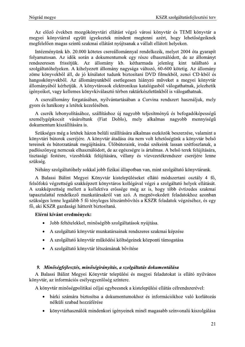Az előző években mozgókönyvtári ellátást végző városi könyvtár és TEMI könyvtár a megyei könyvtárral együtt igyekeztek mindent megtenni azért, hogy lehetőségeiknek megfelelően magas szintű szakmai ellátást nyújtsanak a vállalt ellátott helyeken.

Intézményünk kb. 20.000 kötetes csereállománnyal rendelkezik, melyet 2004 óta gyarapít folyamatosan. Az idők során a dokumentumok egy része elhasználódott, de az állományt rendszeresen frissítjük. Az állomány kb. kétharmada jelenleg kint található a szolgáltatóhelyeken. A kihelyezett állomány nagysága változó, 60-600 kötetig. Az állomány zöme könyvekből áll, de jó kínálatot tudunk biztosítani DVD filmekből, zenei CD-kből és hangoskönyvekből. Az állományunkból esetlegesen hiányzó műveket a megyei könyvtár állományából kérhetjük. A könyvtárosok elektronikus katalógusból válogathatnak, jelezhetik igényeiket, vagy kellemes könyvkiválasztó térben raktárkészletünkből is válogathatnak.

A csereállomány forgatásában, nyilvántartásában a Corvina rendszert használjuk, mely gyors és hatékony a letétek kezelésében.

A cserék lebonyolításához, szállításhoz új nagyobb teljesítményű és befogadóképességű személygépkocsit vásároltunk (Fiat Doblo), mely alkalmas nagyobb mennyiségű dokumentum kiszállítására is.

Szükséges még a letétek házon belüli szállítására alkalmas eszközök beszerzése, valamint a könyvtári bútorok cseréjére. A könyvtár átadása óta nem volt lehetőségünk a könyvtár belső tereinek és bútorzatának megújítására. Ülőbútoraink, irodai székeink lassan szétfoszlanak, a padlószőnyeg nemcsak elhasználódott, de az egészségre is ártalmas. A belső terek felújítására, tisztasági festésre, vizesblokk felújítására, villany és vízvezetékrendszer cseréjére lenne szükség.

Néhány szolgáltatóhely sokkal jobb fizikai állapotban van, mint szolgáltató könyvtárunk.

A Balassi Bálint Megyei Könyvtár kistelepüléseket ellátó módszertani osztály 4 fő, felsőfokú végzettségű szakképzett könyvtáros kollégával végzi a szolgáltató helyek ellátását. A szakképzettség mellett a kollektíva erőssége még az is, hogy több évtizedes szakmai tapasztalattal rendelkező munkatársakról van szó. A megnövekedett feladatokhoz azonban szükséges lenne legalább 5 fő tényleges létszámbővítés a KSZR feladatok végzéséhez, és egy fő, aki KSZR gazdasági hátterét biztosítaná.

#### Elérni kívánt eredmények:

- $\bullet$ Jobb feltételekkel, minőségibb szolgáltatások nyújtása.
- A szolgáltató könyvtár munkatársainak rendszeres szakmai képzése
- A szolgáltató könyvtár működési költségeinek központi támogatása  $\bullet$
- A szolgáltató könyvtár létszámának bővítése

#### 9. Minőségfejlesztés, minőségirányítás, a szolgáltatás dokumentálása

A Balassi Bálint Megyei Könyvtár települési és megyei feladatokat is ellátó nyilvános könyvtár, az információs esélyegyenlőség színtere.

A könyvtár minőségpolitikai céljai egybeesnek a kistelepülési ellátás célrendszerével:

- bárki számára biztosítsa a dokumentumokhoz és információkhoz való korlátozás  $\bullet$ nélküli szabad hozzáférése
- könyvtárhasználók mindenkori igényeinek minél magasabb színvonalú kiszolgálása